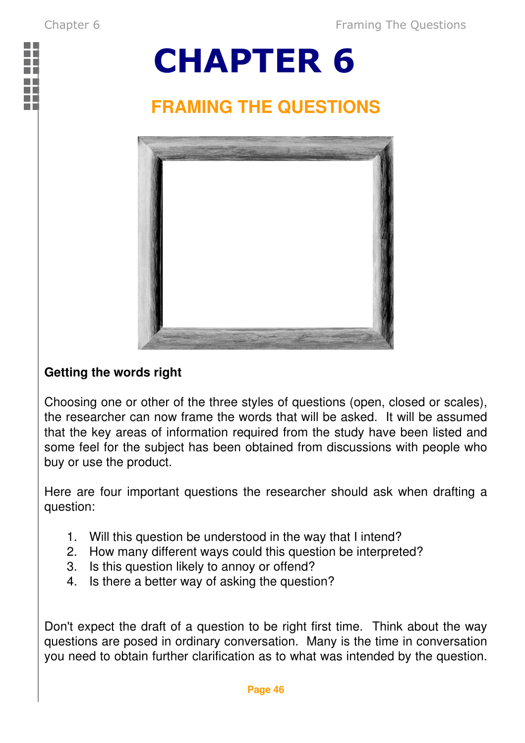

## CHAPTER 6

## **FRAMING THE QUESTIONS**



## **Getting the words right**

Choosing one or other of the three styles of questions (open, closed or scales), the researcher can now frame the words that will be asked. It will be assumed that the key areas of information required from the study have been listed and some feel for the subject has been obtained from discussions with people who buy or use the product.

Here are four important questions the researcher should ask when drafting a question:

- 1. Will this question be understood in the way that I intend?
- 2. How many different ways could this question be interpreted?
- 3. Is this question likely to annoy or offend?
- 4. Is there a better way of asking the question?

Don't expect the draft of a question to be right first time. Think about the way questions are posed in ordinary conversation. Many is the time in conversation you need to obtain further clarification as to what was intended by the question.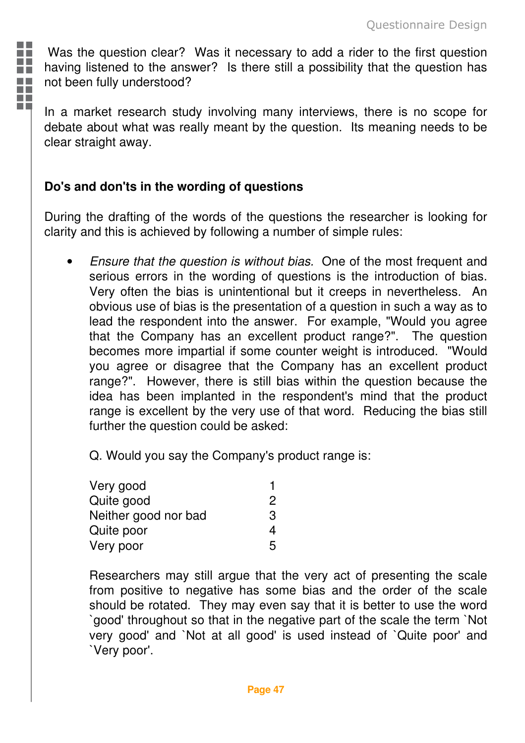Was the question clear? Was it necessary to add a rider to the first question having listened to the answer? Is there still a possibility that the question has not been fully understood?

In a market research study involving many interviews, there is no scope for debate about what was really meant by the question. Its meaning needs to be clear straight away.

## **Do's and don'ts in the wording of questions**

m m T - 11 Ŧ a pr Ŧ ПF

> During the drafting of the words of the questions the researcher is looking for clarity and this is achieved by following a number of simple rules:

• Ensure that the question is without bias. One of the most frequent and serious errors in the wording of questions is the introduction of bias. Very often the bias is unintentional but it creeps in nevertheless. An obvious use of bias is the presentation of a question in such a way as to lead the respondent into the answer. For example, "Would you agree that the Company has an excellent product range?". The question becomes more impartial if some counter weight is introduced. "Would you agree or disagree that the Company has an excellent product range?". However, there is still bias within the question because the idea has been implanted in the respondent's mind that the product range is excellent by the very use of that word. Reducing the bias still further the question could be asked:

Q. Would you say the Company's product range is:

| Very good            |   |
|----------------------|---|
| Quite good           | 2 |
| Neither good nor bad | З |
| Quite poor           | 4 |
| Very poor            | 5 |

Researchers may still argue that the very act of presenting the scale from positive to negative has some bias and the order of the scale should be rotated. They may even say that it is better to use the word `good' throughout so that in the negative part of the scale the term `Not very good' and `Not at all good' is used instead of `Quite poor' and `Very poor'.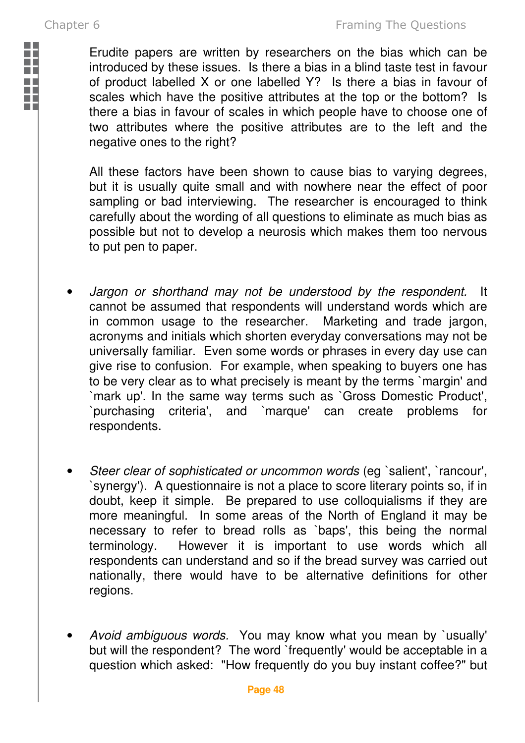m n m n

Erudite papers are written by researchers on the bias which can be introduced by these issues. Is there a bias in a blind taste test in favour of product labelled X or one labelled Y? Is there a bias in favour of scales which have the positive attributes at the top or the bottom? Is there a bias in favour of scales in which people have to choose one of two attributes where the positive attributes are to the left and the negative ones to the right?

All these factors have been shown to cause bias to varying degrees, but it is usually quite small and with nowhere near the effect of poor sampling or bad interviewing. The researcher is encouraged to think carefully about the wording of all questions to eliminate as much bias as possible but not to develop a neurosis which makes them too nervous to put pen to paper.

- Jargon or shorthand may not be understood by the respondent. It cannot be assumed that respondents will understand words which are in common usage to the researcher. Marketing and trade jargon, in common usage to the researcher. acronyms and initials which shorten everyday conversations may not be universally familiar. Even some words or phrases in every day use can give rise to confusion. For example, when speaking to buyers one has to be very clear as to what precisely is meant by the terms `margin' and `mark up'. In the same way terms such as `Gross Domestic Product', `purchasing criteria', and `marque' can create problems for respondents.
- Steer clear of sophisticated or uncommon words (eg `salient', `rancour', `synergy'). A questionnaire is not a place to score literary points so, if in doubt, keep it simple. Be prepared to use colloquialisms if they are more meaningful. In some areas of the North of England it may be necessary to refer to bread rolls as `baps', this being the normal terminology. However it is important to use words which all respondents can understand and so if the bread survey was carried out nationally, there would have to be alternative definitions for other regions.
- Avoid ambiguous words. You may know what you mean by `usually' but will the respondent? The word `frequently' would be acceptable in a question which asked: "How frequently do you buy instant coffee?" but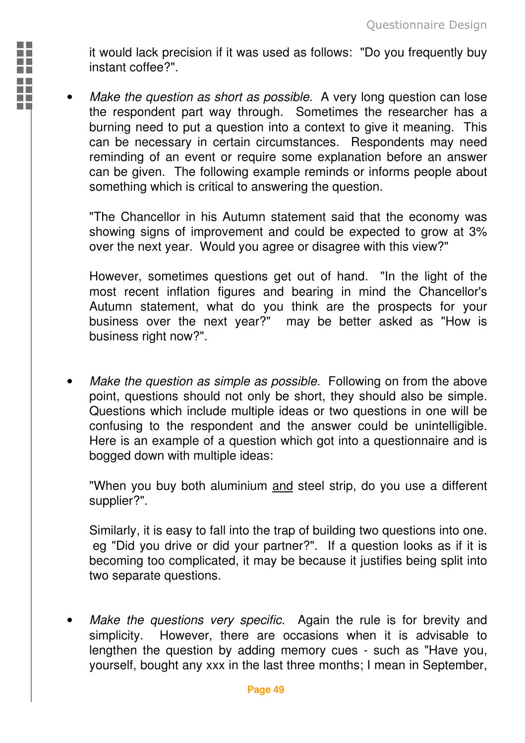it would lack precision if it was used as follows: "Do you frequently buy instant coffee?".

n F m n i n li

a.

Make the question as short as possible. A very long question can lose the respondent part way through. Sometimes the researcher has a burning need to put a question into a context to give it meaning. This can be necessary in certain circumstances. Respondents may need reminding of an event or require some explanation before an answer can be given. The following example reminds or informs people about something which is critical to answering the question.

"The Chancellor in his Autumn statement said that the economy was showing signs of improvement and could be expected to grow at 3% over the next year. Would you agree or disagree with this view?"

However, sometimes questions get out of hand. "In the light of the most recent inflation figures and bearing in mind the Chancellor's Autumn statement, what do you think are the prospects for your business over the next year?" may be better asked as "How is business right now?".

Make the question as simple as possible. Following on from the above point, questions should not only be short, they should also be simple. Questions which include multiple ideas or two questions in one will be confusing to the respondent and the answer could be unintelligible. Here is an example of a question which got into a questionnaire and is bogged down with multiple ideas:

"When you buy both aluminium and steel strip, do you use a different supplier?".

Similarly, it is easy to fall into the trap of building two questions into one. eg "Did you drive or did your partner?". If a question looks as if it is becoming too complicated, it may be because it justifies being split into two separate questions.

Make the questions very specific. Again the rule is for brevity and simplicity. However, there are occasions when it is advisable to lengthen the question by adding memory cues - such as "Have you, yourself, bought any xxx in the last three months; I mean in September,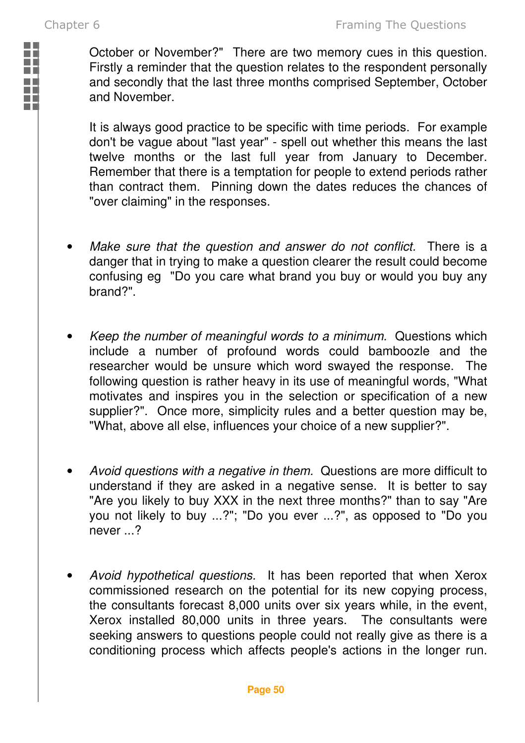**The Contract of Street** n F

October or November?" There are two memory cues in this question. Firstly a reminder that the question relates to the respondent personally and secondly that the last three months comprised September, October and November.

It is always good practice to be specific with time periods. For example don't be vague about "last year" - spell out whether this means the last twelve months or the last full year from January to December. Remember that there is a temptation for people to extend periods rather than contract them. Pinning down the dates reduces the chances of "over claiming" in the responses.

- Make sure that the question and answer do not conflict. There is a danger that in trying to make a question clearer the result could become confusing eg "Do you care what brand you buy or would you buy any brand?".
- Keep the number of meaningful words to a minimum. Questions which include a number of profound words could bamboozle and the researcher would be unsure which word swayed the response. The following question is rather heavy in its use of meaningful words, "What motivates and inspires you in the selection or specification of a new supplier?". Once more, simplicity rules and a better question may be, "What, above all else, influences your choice of a new supplier?".
- Avoid questions with a negative in them. Questions are more difficult to understand if they are asked in a negative sense. It is better to say "Are you likely to buy XXX in the next three months?" than to say "Are you not likely to buy ...?"; "Do you ever ...?", as opposed to "Do you never ...?
- Avoid hypothetical questions. It has been reported that when Xerox commissioned research on the potential for its new copying process, the consultants forecast 8,000 units over six years while, in the event, Xerox installed 80,000 units in three years. The consultants were seeking answers to questions people could not really give as there is a conditioning process which affects people's actions in the longer run.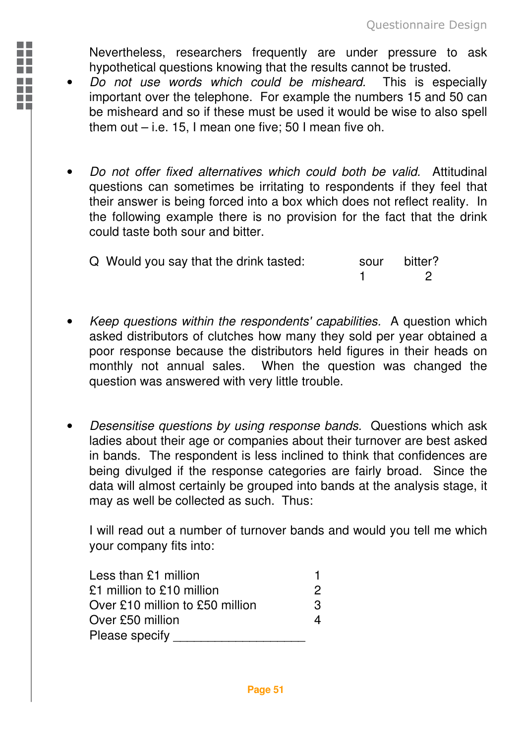Nevertheless, researchers frequently are under pressure to ask hypothetical questions knowing that the results cannot be trusted.

- Do not use words which could be misheard. This is especially important over the telephone. For example the numbers 15 and 50 can be misheard and so if these must be used it would be wise to also spell them out – i.e. 15, I mean one five; 50 I mean five oh.
- Do not offer fixed alternatives which could both be valid. Attitudinal questions can sometimes be irritating to respondents if they feel that their answer is being forced into a box which does not reflect reality. In the following example there is no provision for the fact that the drink could taste both sour and bitter.

| Q Would you say that the drink tasted: | sour bitter? |
|----------------------------------------|--------------|
|                                        |              |

- Keep questions within the respondents' capabilities. A question which asked distributors of clutches how many they sold per year obtained a poor response because the distributors held figures in their heads on monthly not annual sales. When the question was changed the question was answered with very little trouble.
- Desensitise questions by using response bands. Questions which ask ladies about their age or companies about their turnover are best asked in bands. The respondent is less inclined to think that confidences are being divulged if the response categories are fairly broad. Since the data will almost certainly be grouped into bands at the analysis stage, it may as well be collected as such. Thus:

I will read out a number of turnover bands and would you tell me which your company fits into:

| Less than $£1$ million          |   |
|---------------------------------|---|
| £1 million to £10 million       | 2 |
| Over £10 million to £50 million | з |
| Over £50 million                |   |
| Please specify                  |   |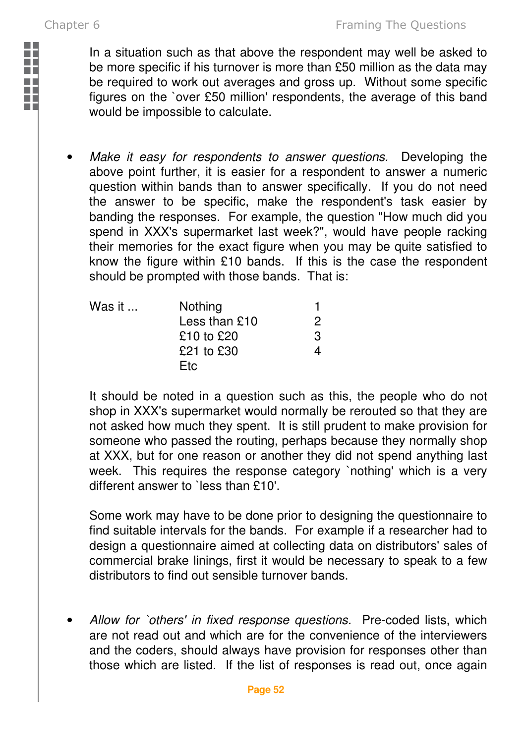**The Contract of Street** ٠

In a situation such as that above the respondent may well be asked to be more specific if his turnover is more than £50 million as the data may be required to work out averages and gross up. Without some specific figures on the `over £50 million' respondents, the average of this band would be impossible to calculate.

Make it easy for respondents to answer questions. Developing the above point further, it is easier for a respondent to answer a numeric question within bands than to answer specifically. If you do not need the answer to be specific, make the respondent's task easier by banding the responses. For example, the question "How much did you spend in XXX's supermarket last week?", would have people racking their memories for the exact figure when you may be quite satisfied to know the figure within £10 bands. If this is the case the respondent should be prompted with those bands. That is:

| Was it $\dots$ | Nothing         |   |
|----------------|-----------------|---|
|                | Less than $£10$ |   |
|                | £10 to £20      | з |
|                | £21 to £30      |   |
|                | Etc.            |   |

It should be noted in a question such as this, the people who do not shop in XXX's supermarket would normally be rerouted so that they are not asked how much they spent. It is still prudent to make provision for someone who passed the routing, perhaps because they normally shop at XXX, but for one reason or another they did not spend anything last week. This requires the response category `nothing' which is a very different answer to `less than £10'.

Some work may have to be done prior to designing the questionnaire to find suitable intervals for the bands. For example if a researcher had to design a questionnaire aimed at collecting data on distributors' sales of commercial brake linings, first it would be necessary to speak to a few distributors to find out sensible turnover bands.

Allow for `others' in fixed response questions. Pre-coded lists, which are not read out and which are for the convenience of the interviewers and the coders, should always have provision for responses other than those which are listed. If the list of responses is read out, once again